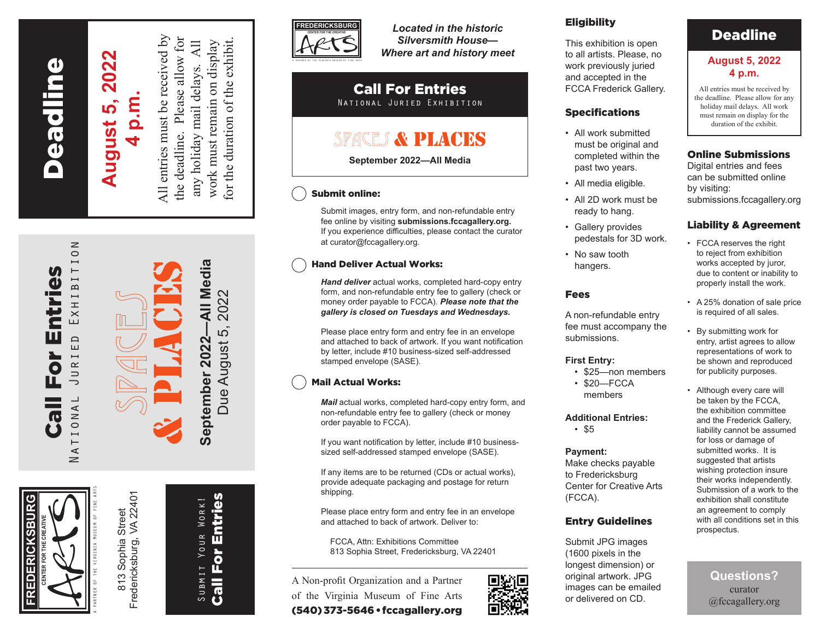**Deadline** Fredericksburg Deadline

# **August 5, 2022 August 5, 2022 4 p.m.**

All entries must be received by All entries must be received by the deadline. Please allow for for the duration of the exhibit. the deadline. Please allow for work must remain on display  $\overline{AB}$ any holiday mail delays. All work must remain on display for the duration of the exhibit. any holiday mail delays.





Call For Entries National Juried Exhibition

For

 $\overline{\mathbf{c}}$ 

面

ntries

 $\overline{0}$ 

EXHIBITI

 $\Box$ ய்

JURI

TIONA

 $\prec$  $\geq$ 

> Fredericksburg, VA 22401 Fredericksburg, VA 22401 Sophia Street 813 Sophia Street  $813$



Due August 5, 2022



*Located in the historic Silversmith House— Where art and history meet*

#### Call For Entries National Juried Exhibition

# SPACES & PLACES

**September 2022—All Media**

## Submit online:

Submit images, entry form, and non-refundable entry fee online by visiting **submissions.fccagallery.org.** If you experience difficulties, please contact the curator at curator@fccagallery.org.

### Hand Deliver Actual Works:

*Hand deliver* actual works, completed hard-copy entry form, and non-refundable entry fee to gallery (check or money order payable to FCCA). *Please note that the gallery is closed on Tuesdays and Wednesdays.*

Please place entry form and entry fee in an envelope and attached to back of artwork. If you want notification by letter, include #10 business-sized self-addressed stamped envelope (SASE).

## Mail Actual Works:

*Mail* actual works, completed hard-copy entry form, and non-refundable entry fee to gallery (check or money order payable to FCCA).

If you want notification by letter, include #10 businesssized self-addressed stamped envelope (SASE).

If any items are to be returned (CDs or actual works), provide adequate packaging and postage for return shipping.

Please place entry form and entry fee in an envelope and attached to back of artwork. Deliver to:

FCCA, Attn: Exhibitions Committee 813 Sophia Street, Fredericksburg, VA 22401

A Non-profit Organization and a Partner of the Virginia Museum of Fine Arts (540) 373-5646 • fccagallery.org



## **Eligibility**

This exhibition is open to all artists. Please, no work previously juried and accepted in the FCCA Frederick Gallery.

#### Specifications

- All work submitted must be original and completed within the past two years.
- All media eligible.
- All 2D work must be ready to hang.
- Gallery provides pedestals for 3D work.
- No saw tooth hangers.

#### Fees

A non-refundable entry fee must accompany the submissions.

#### **First Entry:**

- \$25—non members
- \$20—FCCA members

#### **Additional Entries:**

• \$5

#### **Payment:**

Make checks payable to Fredericksburg Center for Creative Arts (FCCA).

#### Entry Guidelines

Submit JPG images (1600 pixels in the longest dimension) or original artwork. JPG images can be emailed or delivered on CD.

## Deadline

#### **August 5, 2022 4 p.m.**

All entries must be received by the deadline. Please allow for any holiday mail delays. All work must remain on display for the duration of the exhibit.

#### Online Submissions

Digital entries and fees can be submitted online by visiting: submissions.fccagallery.org

#### Liability & Agreement

- FCCA reserves the right to reject from exhibition works accepted by juror, due to content or inability to properly install the work.
- A 25% donation of sale price is required of all sales.
- By submitting work for entry, artist agrees to allow representations of work to be shown and reproduced for publicity purposes.
- Although every care will be taken by the FCCA, the exhibition committee and the Frederick Gallery, liability cannot be assumed for loss or damage of submitted works. It is suggested that artists wishing protection insure their works independently. Submission of a work to the exhibition shall constitute an agreement to comply with all conditions set in this prospectus.

**Questions?**  curator @fccagallery.org